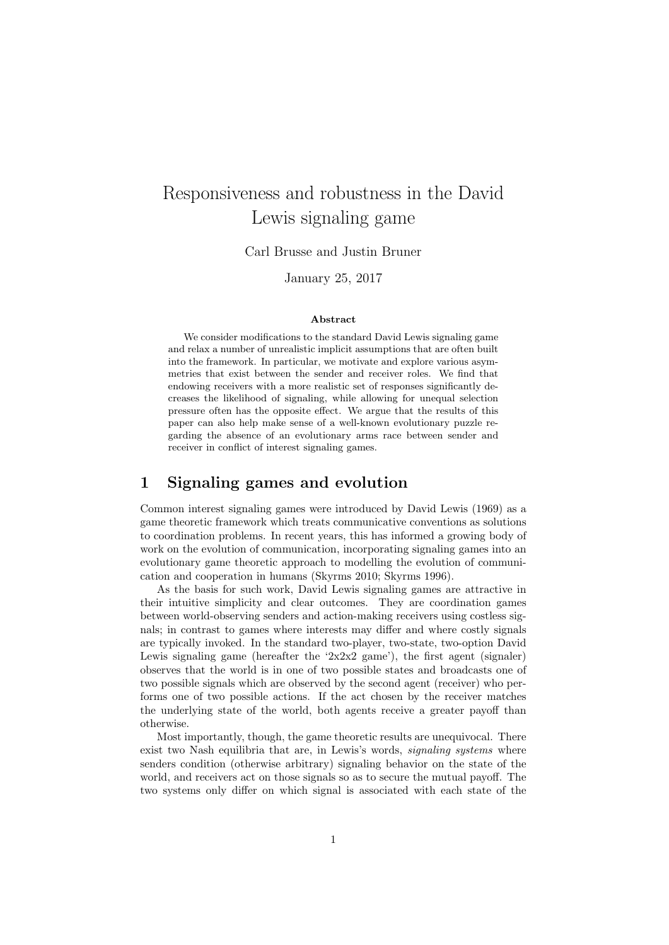# Responsiveness and robustness in the David Lewis signaling game

Carl Brusse and Justin Bruner

January 25, 2017

#### Abstract

We consider modifications to the standard David Lewis signaling game and relax a number of unrealistic implicit assumptions that are often built into the framework. In particular, we motivate and explore various asymmetries that exist between the sender and receiver roles. We find that endowing receivers with a more realistic set of responses significantly decreases the likelihood of signaling, while allowing for unequal selection pressure often has the opposite effect. We argue that the results of this paper can also help make sense of a well-known evolutionary puzzle regarding the absence of an evolutionary arms race between sender and receiver in conflict of interest signaling games.

#### 1 Signaling games and evolution

Common interest signaling games were introduced by David Lewis (1969) as a game theoretic framework which treats communicative conventions as solutions to coordination problems. In recent years, this has informed a growing body of work on the evolution of communication, incorporating signaling games into an evolutionary game theoretic approach to modelling the evolution of communication and cooperation in humans (Skyrms 2010; Skyrms 1996).

As the basis for such work, David Lewis signaling games are attractive in their intuitive simplicity and clear outcomes. They are coordination games between world-observing senders and action-making receivers using costless signals; in contrast to games where interests may differ and where costly signals are typically invoked. In the standard two-player, two-state, two-option David Lewis signaling game (hereafter the '2x2x2 game'), the first agent (signaler) observes that the world is in one of two possible states and broadcasts one of two possible signals which are observed by the second agent (receiver) who performs one of two possible actions. If the act chosen by the receiver matches the underlying state of the world, both agents receive a greater payoff than otherwise.

Most importantly, though, the game theoretic results are unequivocal. There exist two Nash equilibria that are, in Lewis's words, *signaling systems* where senders condition (otherwise arbitrary) signaling behavior on the state of the world, and receivers act on those signals so as to secure the mutual payoff. The two systems only differ on which signal is associated with each state of the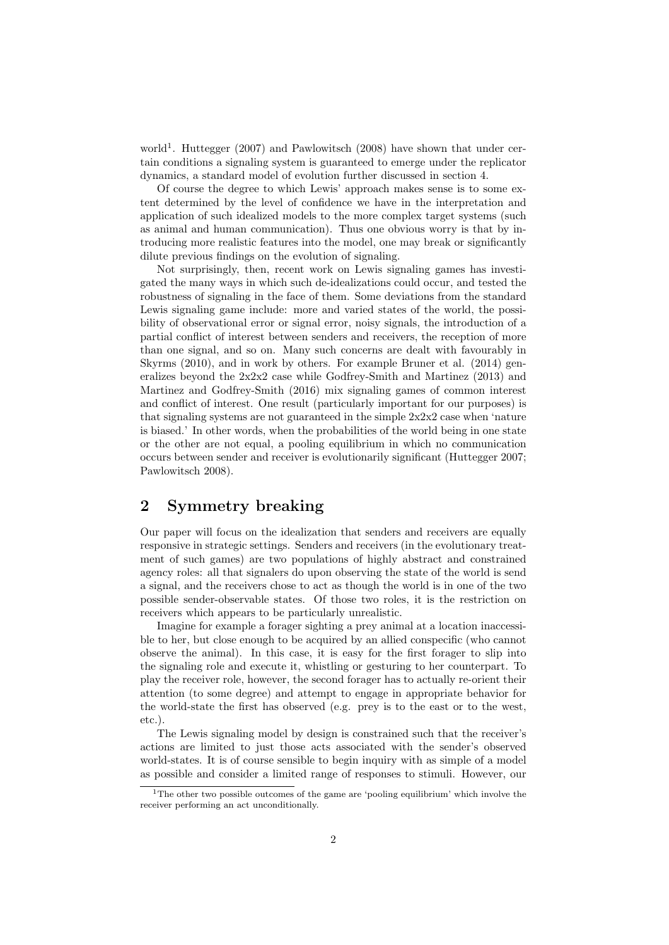world<sup>1</sup>. Huttegger (2007) and Pawlowitsch (2008) have shown that under certain conditions a signaling system is guaranteed to emerge under the replicator dynamics, a standard model of evolution further discussed in section 4.

Of course the degree to which Lewis' approach makes sense is to some extent determined by the level of confidence we have in the interpretation and application of such idealized models to the more complex target systems (such as animal and human communication). Thus one obvious worry is that by introducing more realistic features into the model, one may break or significantly dilute previous findings on the evolution of signaling.

Not surprisingly, then, recent work on Lewis signaling games has investigated the many ways in which such de-idealizations could occur, and tested the robustness of signaling in the face of them. Some deviations from the standard Lewis signaling game include: more and varied states of the world, the possibility of observational error or signal error, noisy signals, the introduction of a partial conflict of interest between senders and receivers, the reception of more than one signal, and so on. Many such concerns are dealt with favourably in Skyrms (2010), and in work by others. For example Bruner et al. (2014) generalizes beyond the  $2x2x2$  case while Godfrey-Smith and Martinez (2013) and Martinez and Godfrey-Smith (2016) mix signaling games of common interest and conflict of interest. One result (particularly important for our purposes) is that signaling systems are not guaranteed in the simple 2x2x2 case when 'nature is biased.' In other words, when the probabilities of the world being in one state or the other are not equal, a pooling equilibrium in which no communication occurs between sender and receiver is evolutionarily significant (Huttegger 2007; Pawlowitsch 2008).

# 2 Symmetry breaking

Our paper will focus on the idealization that senders and receivers are equally responsive in strategic settings. Senders and receivers (in the evolutionary treatment of such games) are two populations of highly abstract and constrained agency roles: all that signalers do upon observing the state of the world is send a signal, and the receivers chose to act as though the world is in one of the two possible sender-observable states. Of those two roles, it is the restriction on receivers which appears to be particularly unrealistic.

Imagine for example a forager sighting a prey animal at a location inaccessible to her, but close enough to be acquired by an allied conspecific (who cannot observe the animal). In this case, it is easy for the first forager to slip into the signaling role and execute it, whistling or gesturing to her counterpart. To play the receiver role, however, the second forager has to actually re-orient their attention (to some degree) and attempt to engage in appropriate behavior for the world-state the first has observed (e.g. prey is to the east or to the west, etc.).

The Lewis signaling model by design is constrained such that the receiver's actions are limited to just those acts associated with the sender's observed world-states. It is of course sensible to begin inquiry with as simple of a model as possible and consider a limited range of responses to stimuli. However, our

<sup>&</sup>lt;sup>1</sup>The other two possible outcomes of the game are 'pooling equilibrium' which involve the receiver performing an act unconditionally.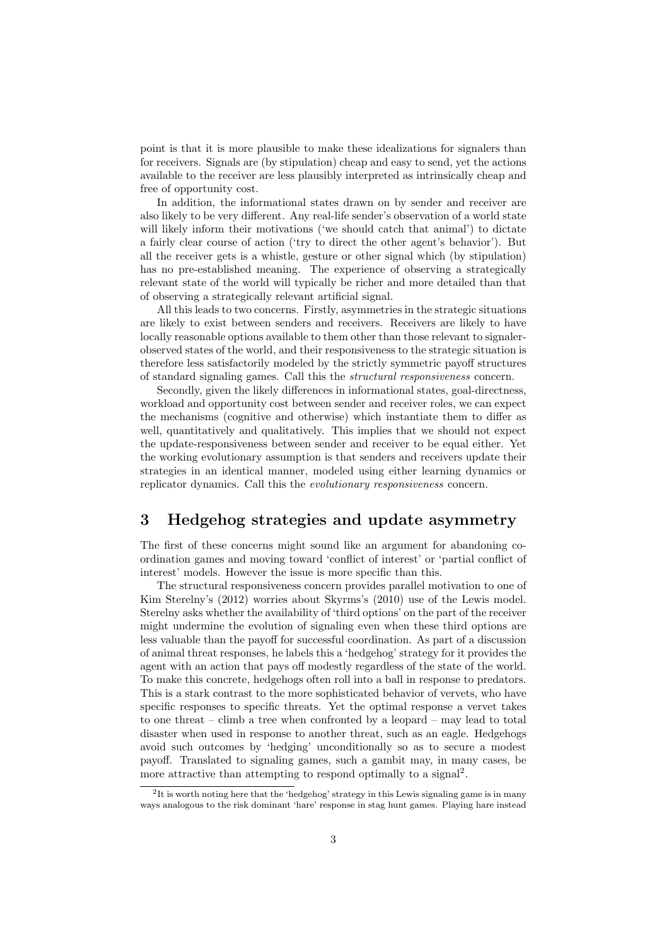point is that it is more plausible to make these idealizations for signalers than for receivers. Signals are (by stipulation) cheap and easy to send, yet the actions available to the receiver are less plausibly interpreted as intrinsically cheap and free of opportunity cost.

In addition, the informational states drawn on by sender and receiver are also likely to be very different. Any real-life sender's observation of a world state will likely inform their motivations ('we should catch that animal') to dictate a fairly clear course of action ('try to direct the other agent's behavior'). But all the receiver gets is a whistle, gesture or other signal which (by stipulation) has no pre-established meaning. The experience of observing a strategically relevant state of the world will typically be richer and more detailed than that of observing a strategically relevant artificial signal.

All this leads to two concerns. Firstly, asymmetries in the strategic situations are likely to exist between senders and receivers. Receivers are likely to have locally reasonable options available to them other than those relevant to signalerobserved states of the world, and their responsiveness to the strategic situation is therefore less satisfactorily modeled by the strictly symmetric payoff structures of standard signaling games. Call this the structural responsiveness concern.

Secondly, given the likely differences in informational states, goal-directness, workload and opportunity cost between sender and receiver roles, we can expect the mechanisms (cognitive and otherwise) which instantiate them to differ as well, quantitatively and qualitatively. This implies that we should not expect the update-responsiveness between sender and receiver to be equal either. Yet the working evolutionary assumption is that senders and receivers update their strategies in an identical manner, modeled using either learning dynamics or replicator dynamics. Call this the *evolutionary responsiveness* concern.

# 3 Hedgehog strategies and update asymmetry

The first of these concerns might sound like an argument for abandoning coordination games and moving toward 'conflict of interest' or 'partial conflict of interest' models. However the issue is more specific than this.

The structural responsiveness concern provides parallel motivation to one of Kim Sterelny's (2012) worries about Skyrms's (2010) use of the Lewis model. Sterelny asks whether the availability of 'third options' on the part of the receiver might undermine the evolution of signaling even when these third options are less valuable than the payoff for successful coordination. As part of a discussion of animal threat responses, he labels this a 'hedgehog' strategy for it provides the agent with an action that pays off modestly regardless of the state of the world. To make this concrete, hedgehogs often roll into a ball in response to predators. This is a stark contrast to the more sophisticated behavior of vervets, who have specific responses to specific threats. Yet the optimal response a vervet takes to one threat – climb a tree when confronted by a leopard – may lead to total disaster when used in response to another threat, such as an eagle. Hedgehogs avoid such outcomes by 'hedging' unconditionally so as to secure a modest payoff. Translated to signaling games, such a gambit may, in many cases, be more attractive than attempting to respond optimally to a signal<sup>2</sup>.

<sup>&</sup>lt;sup>2</sup>It is worth noting here that the 'hedgehog' strategy in this Lewis signaling game is in many ways analogous to the risk dominant 'hare' response in stag hunt games. Playing hare instead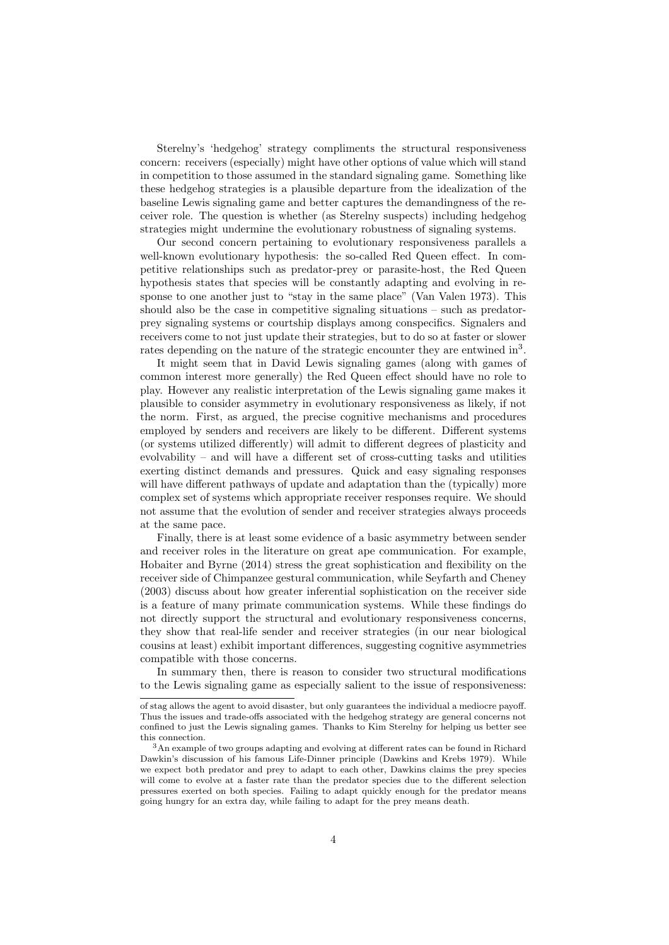Sterelny's 'hedgehog' strategy compliments the structural responsiveness concern: receivers (especially) might have other options of value which will stand in competition to those assumed in the standard signaling game. Something like these hedgehog strategies is a plausible departure from the idealization of the baseline Lewis signaling game and better captures the demandingness of the receiver role. The question is whether (as Sterelny suspects) including hedgehog strategies might undermine the evolutionary robustness of signaling systems.

Our second concern pertaining to evolutionary responsiveness parallels a well-known evolutionary hypothesis: the so-called Red Queen effect. In competitive relationships such as predator-prey or parasite-host, the Red Queen hypothesis states that species will be constantly adapting and evolving in response to one another just to "stay in the same place" (Van Valen 1973). This should also be the case in competitive signaling situations – such as predatorprey signaling systems or courtship displays among conspecifics. Signalers and receivers come to not just update their strategies, but to do so at faster or slower rates depending on the nature of the strategic encounter they are entwined  $\text{in}^3$ .

It might seem that in David Lewis signaling games (along with games of common interest more generally) the Red Queen effect should have no role to play. However any realistic interpretation of the Lewis signaling game makes it plausible to consider asymmetry in evolutionary responsiveness as likely, if not the norm. First, as argued, the precise cognitive mechanisms and procedures employed by senders and receivers are likely to be different. Different systems (or systems utilized differently) will admit to different degrees of plasticity and evolvability – and will have a different set of cross-cutting tasks and utilities exerting distinct demands and pressures. Quick and easy signaling responses will have different pathways of update and adaptation than the (typically) more complex set of systems which appropriate receiver responses require. We should not assume that the evolution of sender and receiver strategies always proceeds at the same pace.

Finally, there is at least some evidence of a basic asymmetry between sender and receiver roles in the literature on great ape communication. For example, Hobaiter and Byrne (2014) stress the great sophistication and flexibility on the receiver side of Chimpanzee gestural communication, while Seyfarth and Cheney (2003) discuss about how greater inferential sophistication on the receiver side is a feature of many primate communication systems. While these findings do not directly support the structural and evolutionary responsiveness concerns, they show that real-life sender and receiver strategies (in our near biological cousins at least) exhibit important differences, suggesting cognitive asymmetries compatible with those concerns.

In summary then, there is reason to consider two structural modifications to the Lewis signaling game as especially salient to the issue of responsiveness:

of stag allows the agent to avoid disaster, but only guarantees the individual a mediocre payoff. Thus the issues and trade-offs associated with the hedgehog strategy are general concerns not confined to just the Lewis signaling games. Thanks to Kim Sterelny for helping us better see this connection.

<sup>3</sup>An example of two groups adapting and evolving at different rates can be found in Richard Dawkin's discussion of his famous Life-Dinner principle (Dawkins and Krebs 1979). While we expect both predator and prey to adapt to each other, Dawkins claims the prey species will come to evolve at a faster rate than the predator species due to the different selection pressures exerted on both species. Failing to adapt quickly enough for the predator means going hungry for an extra day, while failing to adapt for the prey means death.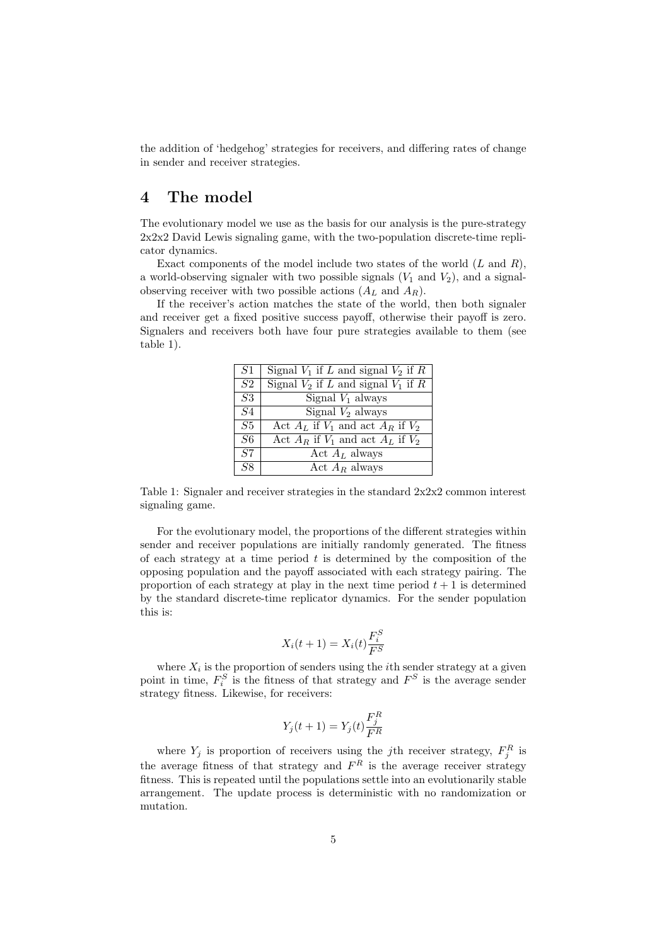the addition of 'hedgehog' strategies for receivers, and differing rates of change in sender and receiver strategies.

#### 4 The model

The evolutionary model we use as the basis for our analysis is the pure-strategy 2x2x2 David Lewis signaling game, with the two-population discrete-time replicator dynamics.

Exact components of the model include two states of the world  $(L \text{ and } R)$ , a world-observing signaler with two possible signals  $(V_1$  and  $V_2)$ , and a signalobserving receiver with two possible actions  $(A_L$  and  $A_R)$ .

If the receiver's action matches the state of the world, then both signaler and receiver get a fixed positive success payoff, otherwise their payoff is zero. Signalers and receivers both have four pure strategies available to them (see table 1).

| S1             | Signal $V_1$ if L and signal $V_2$ if R   |
|----------------|-------------------------------------------|
| S <sub>2</sub> | Signal $V_2$ if L and signal $V_1$ if R   |
| S3             | Signal $V_1$ always                       |
| S <sub>4</sub> | Signal $V_2$ always                       |
| S5             | Act $A_L$ if $V_1$ and act $A_R$ if $V_2$ |
| S6             | Act $A_R$ if $V_1$ and act $A_L$ if $V_2$ |
| S7             | Act $A_L$ always                          |
| SS             | Act $A_R$ always                          |

Table 1: Signaler and receiver strategies in the standard 2x2x2 common interest signaling game.

For the evolutionary model, the proportions of the different strategies within sender and receiver populations are initially randomly generated. The fitness of each strategy at a time period  $t$  is determined by the composition of the opposing population and the payoff associated with each strategy pairing. The proportion of each strategy at play in the next time period  $t + 1$  is determined by the standard discrete-time replicator dynamics. For the sender population this is:

$$
X_i(t+1) = X_i(t) \frac{F_i^S}{F^S}
$$

where  $X_i$  is the proportion of senders using the *i*<sup>th</sup> sender strategy at a given point in time,  $F_i^S$  is the fitness of that strategy and  $F^S$  is the average sender strategy fitness. Likewise, for receivers:

$$
Y_j(t+1) = Y_j(t) \frac{F_j^R}{F^R}
$$

where  $Y_j$  is proportion of receivers using the jth receiver strategy,  $F_j^R$  is the average fitness of that strategy and  $F<sup>R</sup>$  is the average receiver strategy fitness. This is repeated until the populations settle into an evolutionarily stable arrangement. The update process is deterministic with no randomization or mutation.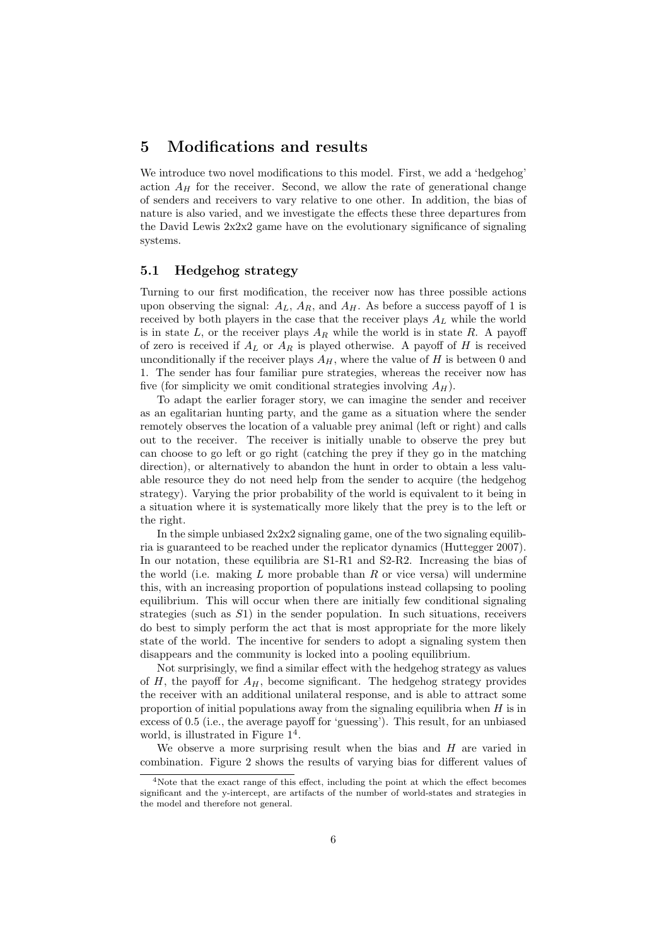#### 5 Modifications and results

We introduce two novel modifications to this model. First, we add a 'hedgehog' action  $A_H$  for the receiver. Second, we allow the rate of generational change of senders and receivers to vary relative to one other. In addition, the bias of nature is also varied, and we investigate the effects these three departures from the David Lewis  $2x2x2$  game have on the evolutionary significance of signaling systems.

#### 5.1 Hedgehog strategy

Turning to our first modification, the receiver now has three possible actions upon observing the signal:  $A_L$ ,  $A_R$ , and  $A_H$ . As before a success payoff of 1 is received by both players in the case that the receiver plays  $A_L$  while the world is in state L, or the receiver plays  $A_R$  while the world is in state R. A payoff of zero is received if  $A_L$  or  $A_R$  is played otherwise. A payoff of H is received unconditionally if the receiver plays  $A_H$ , where the value of H is between 0 and 1. The sender has four familiar pure strategies, whereas the receiver now has five (for simplicity we omit conditional strategies involving  $A_H$ ).

To adapt the earlier forager story, we can imagine the sender and receiver as an egalitarian hunting party, and the game as a situation where the sender remotely observes the location of a valuable prey animal (left or right) and calls out to the receiver. The receiver is initially unable to observe the prey but can choose to go left or go right (catching the prey if they go in the matching direction), or alternatively to abandon the hunt in order to obtain a less valuable resource they do not need help from the sender to acquire (the hedgehog strategy). Varying the prior probability of the world is equivalent to it being in a situation where it is systematically more likely that the prey is to the left or the right.

In the simple unbiased  $2x2x2$  signaling game, one of the two signaling equilibria is guaranteed to be reached under the replicator dynamics (Huttegger 2007). In our notation, these equilibria are S1-R1 and S2-R2. Increasing the bias of the world (i.e. making  $L$  more probable than  $R$  or vice versa) will undermine this, with an increasing proportion of populations instead collapsing to pooling equilibrium. This will occur when there are initially few conditional signaling strategies (such as S1) in the sender population. In such situations, receivers do best to simply perform the act that is most appropriate for the more likely state of the world. The incentive for senders to adopt a signaling system then disappears and the community is locked into a pooling equilibrium.

Not surprisingly, we find a similar effect with the hedgehog strategy as values of H, the payoff for  $A_H$ , become significant. The hedgehog strategy provides the receiver with an additional unilateral response, and is able to attract some proportion of initial populations away from the signaling equilibria when  $H$  is in excess of 0.5 (i.e., the average payoff for 'guessing'). This result, for an unbiased world, is illustrated in Figure  $1<sup>4</sup>$ .

We observe a more surprising result when the bias and  $H$  are varied in combination. Figure 2 shows the results of varying bias for different values of

<sup>4</sup>Note that the exact range of this effect, including the point at which the effect becomes significant and the y-intercept, are artifacts of the number of world-states and strategies in the model and therefore not general.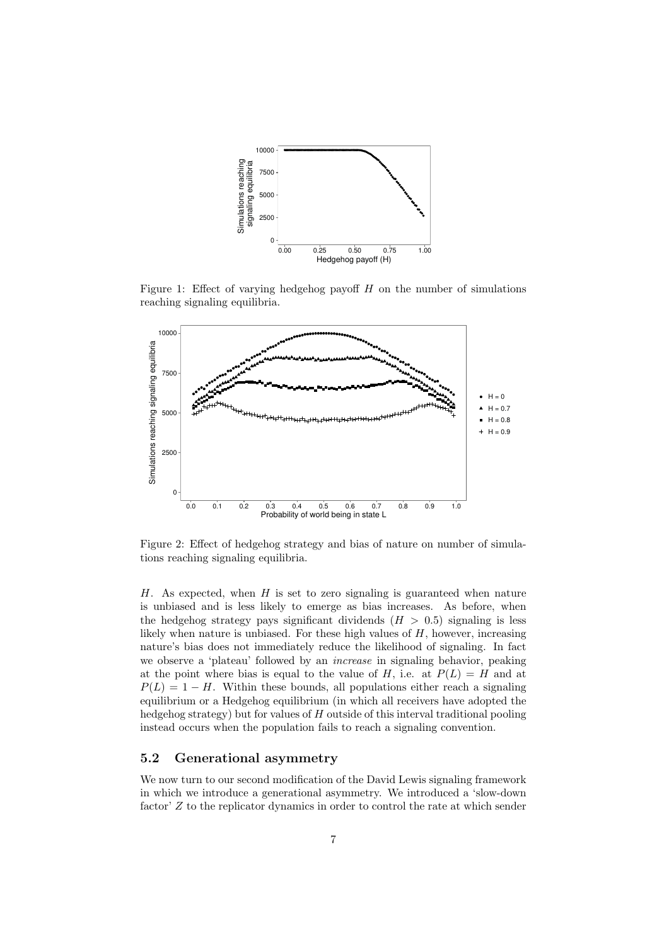

Figure 1: Effect of varying hedgehog payoff  $H$  on the number of simulations reaching signaling equilibria.



Figure 2: Effect of hedgehog strategy and bias of nature on number of simulations reaching signaling equilibria.

H. As expected, when  $H$  is set to zero signaling is guaranteed when nature is unbiased and is less likely to emerge as bias increases. As before, when the hedgehog strategy pays significant dividends  $(H > 0.5)$  signaling is less likely when nature is unbiased. For these high values of  $H$ , however, increasing nature's bias does not immediately reduce the likelihood of signaling. In fact we observe a 'plateau' followed by an *increase* in signaling behavior, peaking at the point where bias is equal to the value of H, i.e. at  $P(L) = H$  and at  $P(L) = 1 - H$ . Within these bounds, all populations either reach a signaling equilibrium or a Hedgehog equilibrium (in which all receivers have adopted the hedgehog strategy) but for values of H outside of this interval traditional pooling instead occurs when the population fails to reach a signaling convention.

#### 5.2 Generational asymmetry

We now turn to our second modification of the David Lewis signaling framework in which we introduce a generational asymmetry. We introduced a 'slow-down factor' Z to the replicator dynamics in order to control the rate at which sender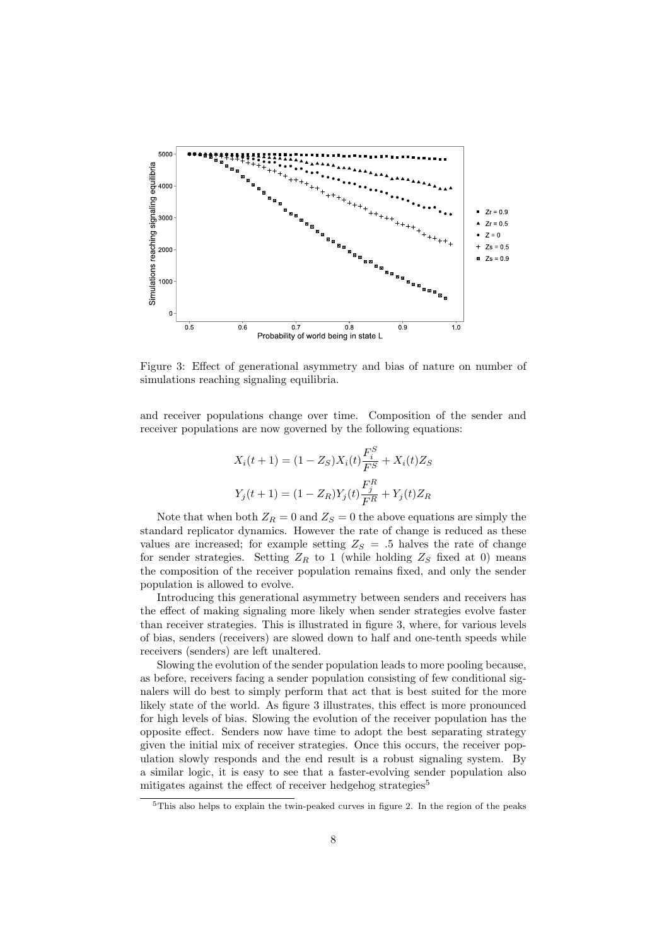

Figure 3: Effect of generational asymmetry and bias of nature on number of simulations reaching signaling equilibria.

and receiver populations change over time. Composition of the sender and receiver populations are now governed by the following equations:

$$
X_i(t+1) = (1 - Z_S)X_i(t)\frac{F_i^S}{F^S} + X_i(t)Z_S
$$
  

$$
Y_j(t+1) = (1 - Z_R)Y_j(t)\frac{F_j^R}{F^R} + Y_j(t)Z_R
$$

Note that when both  $Z_R = 0$  and  $Z_S = 0$  the above equations are simply the standard replicator dynamics. However the rate of change is reduced as these values are increased; for example setting  $Z_S = .5$  halves the rate of change for sender strategies. Setting  $Z_R$  to 1 (while holding  $Z_S$  fixed at 0) means the composition of the receiver population remains fixed, and only the sender population is allowed to evolve.

Introducing this generational asymmetry between senders and receivers has the effect of making signaling more likely when sender strategies evolve faster than receiver strategies. This is illustrated in figure 3, where, for various levels of bias, senders (receivers) are slowed down to half and one-tenth speeds while receivers (senders) are left unaltered.

Slowing the evolution of the sender population leads to more pooling because, as before, receivers facing a sender population consisting of few conditional signalers will do best to simply perform that act that is best suited for the more likely state of the world. As figure 3 illustrates, this effect is more pronounced for high levels of bias. Slowing the evolution of the receiver population has the opposite effect. Senders now have time to adopt the best separating strategy given the initial mix of receiver strategies. Once this occurs, the receiver population slowly responds and the end result is a robust signaling system. By a similar logic, it is easy to see that a faster-evolving sender population also mitigates against the effect of receiver hedgehog strategies<sup>5</sup>

 $5$ This also helps to explain the twin-peaked curves in figure 2. In the region of the peaks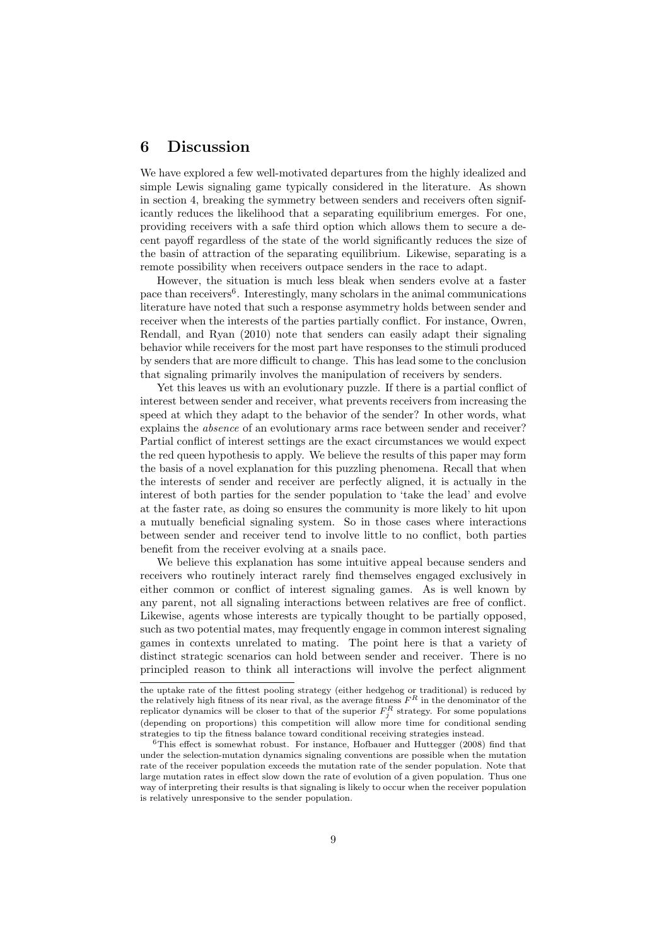#### 6 Discussion

We have explored a few well-motivated departures from the highly idealized and simple Lewis signaling game typically considered in the literature. As shown in section 4, breaking the symmetry between senders and receivers often significantly reduces the likelihood that a separating equilibrium emerges. For one, providing receivers with a safe third option which allows them to secure a decent payoff regardless of the state of the world significantly reduces the size of the basin of attraction of the separating equilibrium. Likewise, separating is a remote possibility when receivers outpace senders in the race to adapt.

However, the situation is much less bleak when senders evolve at a faster pace than receivers<sup>6</sup>. Interestingly, many scholars in the animal communications literature have noted that such a response asymmetry holds between sender and receiver when the interests of the parties partially conflict. For instance, Owren, Rendall, and Ryan (2010) note that senders can easily adapt their signaling behavior while receivers for the most part have responses to the stimuli produced by senders that are more difficult to change. This has lead some to the conclusion that signaling primarily involves the manipulation of receivers by senders.

Yet this leaves us with an evolutionary puzzle. If there is a partial conflict of interest between sender and receiver, what prevents receivers from increasing the speed at which they adapt to the behavior of the sender? In other words, what explains the *absence* of an evolutionary arms race between sender and receiver? Partial conflict of interest settings are the exact circumstances we would expect the red queen hypothesis to apply. We believe the results of this paper may form the basis of a novel explanation for this puzzling phenomena. Recall that when the interests of sender and receiver are perfectly aligned, it is actually in the interest of both parties for the sender population to 'take the lead' and evolve at the faster rate, as doing so ensures the community is more likely to hit upon a mutually beneficial signaling system. So in those cases where interactions between sender and receiver tend to involve little to no conflict, both parties benefit from the receiver evolving at a snails pace.

We believe this explanation has some intuitive appeal because senders and receivers who routinely interact rarely find themselves engaged exclusively in either common or conflict of interest signaling games. As is well known by any parent, not all signaling interactions between relatives are free of conflict. Likewise, agents whose interests are typically thought to be partially opposed, such as two potential mates, may frequently engage in common interest signaling games in contexts unrelated to mating. The point here is that a variety of distinct strategic scenarios can hold between sender and receiver. There is no principled reason to think all interactions will involve the perfect alignment

the uptake rate of the fittest pooling strategy (either hedgehog or traditional) is reduced by the relatively high fitness of its near rival, as the average fitness  $F<sup>R</sup>$  in the denominator of the replicator dynamics will be closer to that of the superior  $F_j^R$  strategy. For some populations (depending on proportions) this competition will allow more time for conditional sending strategies to tip the fitness balance toward conditional receiving strategies instead.

 $6$ This effect is somewhat robust. For instance, Hofbauer and Huttegger (2008) find that under the selection-mutation dynamics signaling conventions are possible when the mutation rate of the receiver population exceeds the mutation rate of the sender population. Note that large mutation rates in effect slow down the rate of evolution of a given population. Thus one way of interpreting their results is that signaling is likely to occur when the receiver population is relatively unresponsive to the sender population.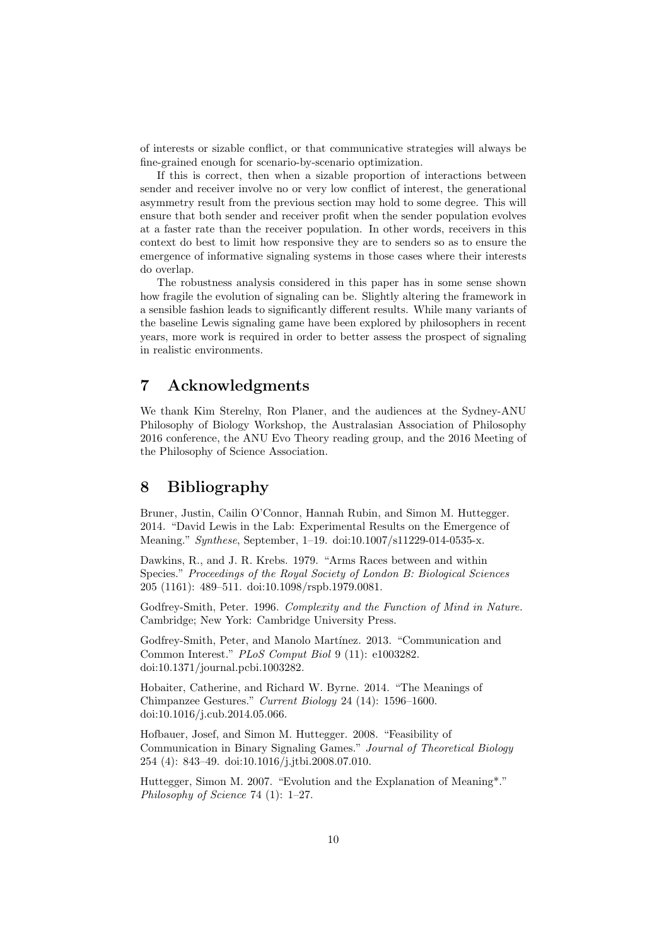of interests or sizable conflict, or that communicative strategies will always be fine-grained enough for scenario-by-scenario optimization.

If this is correct, then when a sizable proportion of interactions between sender and receiver involve no or very low conflict of interest, the generational asymmetry result from the previous section may hold to some degree. This will ensure that both sender and receiver profit when the sender population evolves at a faster rate than the receiver population. In other words, receivers in this context do best to limit how responsive they are to senders so as to ensure the emergence of informative signaling systems in those cases where their interests do overlap.

The robustness analysis considered in this paper has in some sense shown how fragile the evolution of signaling can be. Slightly altering the framework in a sensible fashion leads to significantly different results. While many variants of the baseline Lewis signaling game have been explored by philosophers in recent years, more work is required in order to better assess the prospect of signaling in realistic environments.

#### 7 Acknowledgments

We thank Kim Sterelny, Ron Planer, and the audiences at the Sydney-ANU Philosophy of Biology Workshop, the Australasian Association of Philosophy 2016 conference, the ANU Evo Theory reading group, and the 2016 Meeting of the Philosophy of Science Association.

# 8 Bibliography

Bruner, Justin, Cailin O'Connor, Hannah Rubin, and Simon M. Huttegger. 2014. "David Lewis in the Lab: Experimental Results on the Emergence of Meaning." Synthese, September, 1-19. doi:10.1007/s11229-014-0535-x.

Dawkins, R., and J. R. Krebs. 1979. "Arms Races between and within Species." Proceedings of the Royal Society of London B: Biological Sciences 205 (1161): 489–511. doi:10.1098/rspb.1979.0081.

Godfrey-Smith, Peter. 1996. Complexity and the Function of Mind in Nature. Cambridge; New York: Cambridge University Press.

Godfrey-Smith, Peter, and Manolo Martínez. 2013. "Communication and Common Interest." PLoS Comput Biol 9 (11): e1003282. doi:10.1371/journal.pcbi.1003282.

Hobaiter, Catherine, and Richard W. Byrne. 2014. "The Meanings of Chimpanzee Gestures." Current Biology 24 (14): 1596–1600. doi:10.1016/j.cub.2014.05.066.

Hofbauer, Josef, and Simon M. Huttegger. 2008. "Feasibility of Communication in Binary Signaling Games." Journal of Theoretical Biology 254 (4): 843–49. doi:10.1016/j.jtbi.2008.07.010.

Huttegger, Simon M. 2007. "Evolution and the Explanation of Meaning\*." Philosophy of Science 74 (1): 1–27.